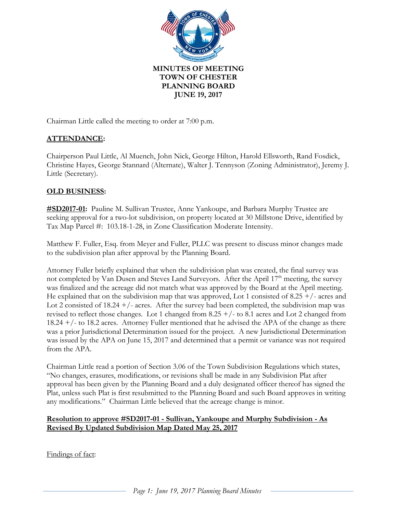

Chairman Little called the meeting to order at 7:00 p.m.

# **ATTENDANCE:**

Chairperson Paul Little, Al Muench, John Nick, George Hilton, Harold Ellsworth, Rand Fosdick, Christine Hayes, George Stannard (Alternate), Walter J. Tennyson (Zoning Administrator), Jeremy J. Little (Secretary).

# **OLD BUSINESS:**

**#SD2017-01:** Pauline M. Sullivan Trustee, Anne Yankoupe, and Barbara Murphy Trustee are seeking approval for a two-lot subdivision, on property located at 30 Millstone Drive, identified by Tax Map Parcel #: 103.18-1-28, in Zone Classification Moderate Intensity.

Matthew F. Fuller, Esq. from Meyer and Fuller, PLLC was present to discuss minor changes made to the subdivision plan after approval by the Planning Board.

Attorney Fuller briefly explained that when the subdivision plan was created, the final survey was not completed by Van Dusen and Steves Land Surveyors. After the April  $17<sup>th</sup>$  meeting, the survey was finalized and the acreage did not match what was approved by the Board at the April meeting. He explained that on the subdivision map that was approved, Lot 1 consisted of 8.25  $+$ /- acres and Lot 2 consisted of  $18.24 + / -$  acres. After the survey had been completed, the subdivision map was revised to reflect those changes. Lot 1 changed from  $8.25 + / -$  to  $8.1$  acres and Lot 2 changed from 18.24 +/- to 18.2 acres. Attorney Fuller mentioned that he advised the APA of the change as there was a prior Jurisdictional Determination issued for the project. A new Jurisdictional Determination was issued by the APA on June 15, 2017 and determined that a permit or variance was not required from the APA.

Chairman Little read a portion of Section 3.06 of the Town Subdivision Regulations which states, "No changes, erasures, modifications, or revisions shall be made in any Subdivision Plat after approval has been given by the Planning Board and a duly designated officer thereof has signed the Plat, unless such Plat is first resubmitted to the Planning Board and such Board approves in writing any modifications." Chairman Little believed that the acreage change is minor.

### **Resolution to approve #SD2017-01 - Sullivan, Yankoupe and Murphy Subdivision - As Revised By Updated Subdivision Map Dated May 25, 2017**

Findings of fact: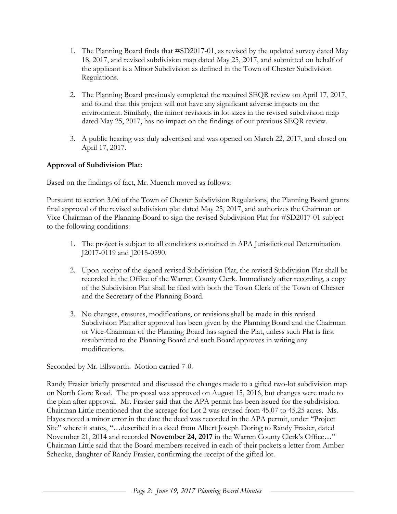- 1. The Planning Board finds that #SD2017-01, as revised by the updated survey dated May 18, 2017, and revised subdivision map dated May 25, 2017, and submitted on behalf of the applicant is a Minor Subdivision as defined in the Town of Chester Subdivision Regulations.
- 2. The Planning Board previously completed the required SEQR review on April 17, 2017, and found that this project will not have any significant adverse impacts on the environment. Similarly, the minor revisions in lot sizes in the revised subdivision map dated May 25, 2017, has no impact on the findings of our previous SEQR review.
- 3. A public hearing was duly advertised and was opened on March 22, 2017, and closed on April 17, 2017.

# **Approval of Subdivision Plat:**

Based on the findings of fact, Mr. Muench moved as follows:

Pursuant to section 3.06 of the Town of Chester Subdivision Regulations, the Planning Board grants final approval of the revised subdivision plat dated May 25, 2017, and authorizes the Chairman or Vice-Chairman of the Planning Board to sign the revised Subdivision Plat for #SD2017-01 subject to the following conditions:

- 1. The project is subject to all conditions contained in APA Jurisdictional Determination J2017-0119 and J2015-0590.
- 2. Upon receipt of the signed revised Subdivision Plat, the revised Subdivision Plat shall be recorded in the Office of the Warren County Clerk. Immediately after recording, a copy of the Subdivision Plat shall be filed with both the Town Clerk of the Town of Chester and the Secretary of the Planning Board.
- 3. No changes, erasures, modifications, or revisions shall be made in this revised Subdivision Plat after approval has been given by the Planning Board and the Chairman or Vice-Chairman of the Planning Board has signed the Plat, unless such Plat is first resubmitted to the Planning Board and such Board approves in writing any modifications.

Seconded by Mr. Ellsworth. Motion carried 7-0.

Randy Frasier briefly presented and discussed the changes made to a gifted two-lot subdivision map on North Gore Road. The proposal was approved on August 15, 2016, but changes were made to the plan after approval. Mr. Frasier said that the APA permit has been issued for the subdivision. Chairman Little mentioned that the acreage for Lot 2 was revised from 45.07 to 45.25 acres. Ms. Hayes noted a minor error in the date the deed was recorded in the APA permit, under "Project Site" where it states, "…described in a deed from Albert Joseph Doring to Randy Frasier, dated November 21, 2014 and recorded **November 24, 2017** in the Warren County Clerk's Office…" Chairman Little said that the Board members received in each of their packets a letter from Amber Schenke, daughter of Randy Frasier, confirming the receipt of the gifted lot.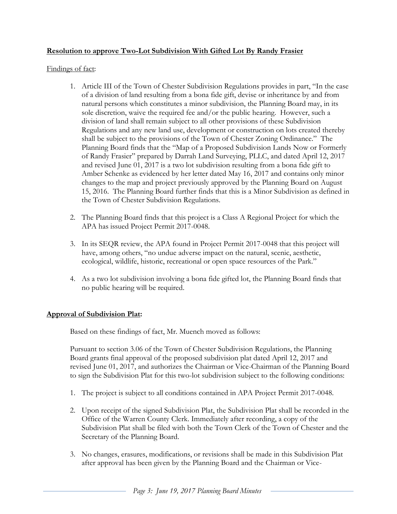## **Resolution to approve Two-Lot Subdivision With Gifted Lot By Randy Frasier**

#### Findings of fact:

- 1. Article III of the Town of Chester Subdivision Regulations provides in part, "In the case of a division of land resulting from a bona fide gift, devise or inheritance by and from natural persons which constitutes a minor subdivision, the Planning Board may, in its sole discretion, waive the required fee and/or the public hearing. However, such a division of land shall remain subject to all other provisions of these Subdivision Regulations and any new land use, development or construction on lots created thereby shall be subject to the provisions of the Town of Chester Zoning Ordinance." The Planning Board finds that the "Map of a Proposed Subdivision Lands Now or Formerly of Randy Frasier" prepared by Darrah Land Surveying, PLLC, and dated April 12, 2017 and revised June 01, 2017 is a two lot subdivision resulting from a bona fide gift to Amber Schenke as evidenced by her letter dated May 16, 2017 and contains only minor changes to the map and project previously approved by the Planning Board on August 15, 2016. The Planning Board further finds that this is a Minor Subdivision as defined in the Town of Chester Subdivision Regulations.
- 2. The Planning Board finds that this project is a Class A Regional Project for which the APA has issued Project Permit 2017-0048.
- 3. In its SEQR review, the APA found in Project Permit 2017-0048 that this project will have, among others, "no undue adverse impact on the natural, scenic, aesthetic, ecological, wildlife, historic, recreational or open space resources of the Park."
- 4. As a two lot subdivision involving a bona fide gifted lot, the Planning Board finds that no public hearing will be required.

#### **Approval of Subdivision Plat:**

Based on these findings of fact, Mr. Muench moved as follows:

Pursuant to section 3.06 of the Town of Chester Subdivision Regulations, the Planning Board grants final approval of the proposed subdivision plat dated April 12, 2017 and revised June 01, 2017, and authorizes the Chairman or Vice-Chairman of the Planning Board to sign the Subdivision Plat for this two-lot subdivision subject to the following conditions:

- 1. The project is subject to all conditions contained in APA Project Permit 2017-0048.
- 2. Upon receipt of the signed Subdivision Plat, the Subdivision Plat shall be recorded in the Office of the Warren County Clerk. Immediately after recording, a copy of the Subdivision Plat shall be filed with both the Town Clerk of the Town of Chester and the Secretary of the Planning Board.
- 3. No changes, erasures, modifications, or revisions shall be made in this Subdivision Plat after approval has been given by the Planning Board and the Chairman or Vice-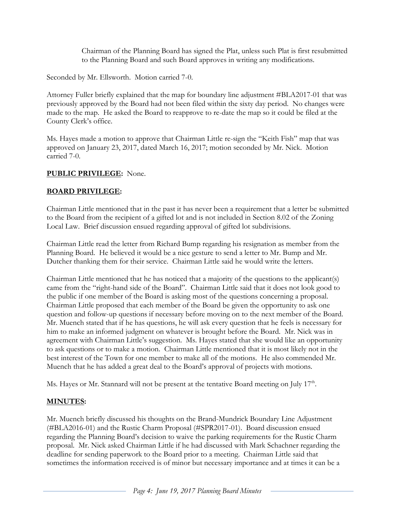Chairman of the Planning Board has signed the Plat, unless such Plat is first resubmitted to the Planning Board and such Board approves in writing any modifications.

Seconded by Mr. Ellsworth. Motion carried 7-0.

Attorney Fuller briefly explained that the map for boundary line adjustment #BLA2017-01 that was previously approved by the Board had not been filed within the sixty day period. No changes were made to the map. He asked the Board to reapprove to re-date the map so it could be filed at the County Clerk's office.

Ms. Hayes made a motion to approve that Chairman Little re-sign the "Keith Fish" map that was approved on January 23, 2017, dated March 16, 2017; motion seconded by Mr. Nick. Motion carried 7-0.

### **PUBLIC PRIVILEGE:** None.

### **BOARD PRIVILEGE:**

Chairman Little mentioned that in the past it has never been a requirement that a letter be submitted to the Board from the recipient of a gifted lot and is not included in Section 8.02 of the Zoning Local Law. Brief discussion ensued regarding approval of gifted lot subdivisions.

Chairman Little read the letter from Richard Bump regarding his resignation as member from the Planning Board. He believed it would be a nice gesture to send a letter to Mr. Bump and Mr. Dutcher thanking them for their service. Chairman Little said he would write the letters.

Chairman Little mentioned that he has noticed that a majority of the questions to the applicant(s) came from the "right-hand side of the Board". Chairman Little said that it does not look good to the public if one member of the Board is asking most of the questions concerning a proposal. Chairman Little proposed that each member of the Board be given the opportunity to ask one question and follow-up questions if necessary before moving on to the next member of the Board. Mr. Muench stated that if he has questions, he will ask every question that he feels is necessary for him to make an informed judgment on whatever is brought before the Board. Mr. Nick was in agreement with Chairman Little's suggestion. Ms. Hayes stated that she would like an opportunity to ask questions or to make a motion. Chairman Little mentioned that it is most likely not in the best interest of the Town for one member to make all of the motions. He also commended Mr. Muench that he has added a great deal to the Board's approval of projects with motions.

Ms. Hayes or Mr. Stannard will not be present at the tentative Board meeting on July 17<sup>th</sup>.

#### **MINUTES:**

Mr. Muench briefly discussed his thoughts on the Brand-Mundrick Boundary Line Adjustment (#BLA2016-01) and the Rustic Charm Proposal (#SPR2017-01). Board discussion ensued regarding the Planning Board's decision to waive the parking requirements for the Rustic Charm proposal. Mr. Nick asked Chairman Little if he had discussed with Mark Schachner regarding the deadline for sending paperwork to the Board prior to a meeting. Chairman Little said that sometimes the information received is of minor but necessary importance and at times it can be a